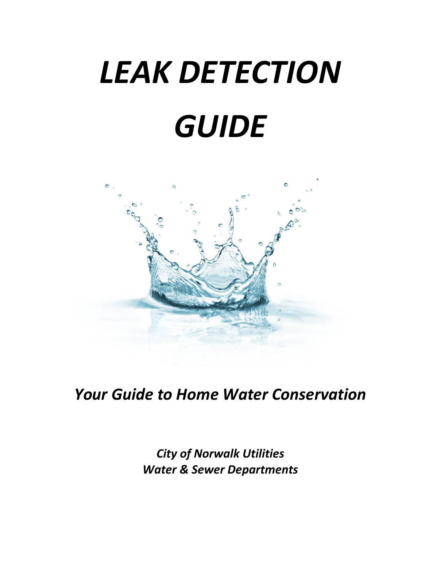# *LEAK DETECTION GUIDE*



*Your Guide to Home Water Conservation*

*City of Norwalk Utilities Water & Sewer Departments*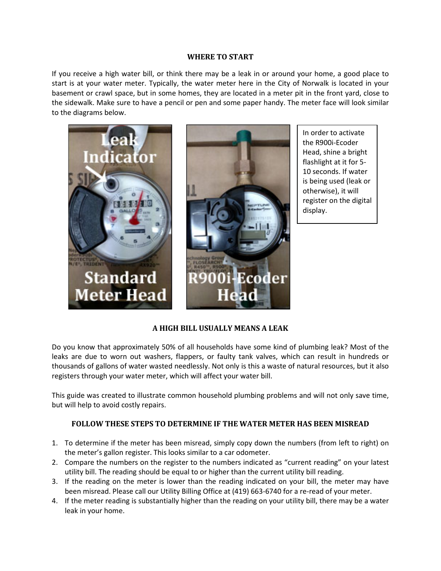#### **WHERE TO START**

If you receive a high water bill, or think there may be a leak in or around your home, a good place to start is at your water meter. Typically, the water meter here in the City of Norwalk is located in your basement or crawl space, but in some homes, they are located in a meter pit in the front yard, close to the sidewalk. Make sure to have a pencil or pen and some paper handy. The meter face will look similar to the diagrams below.



In order to activate the R900i-Ecoder Head, shine a bright flashlight at it for 5- 10 seconds. If water is being used (leak or otherwise), it will register on the digital display.

# **A HIGH BILL USUALLY MEANS A LEAK**

Do you know that approximately 50% of all households have some kind of plumbing leak? Most of the leaks are due to worn out washers, flappers, or faulty tank valves, which can result in hundreds or thousands of gallons of water wasted needlessly. Not only is this a waste of natural resources, but it also registers through your water meter, which will affect your water bill.

This guide was created to illustrate common household plumbing problems and will not only save time, but will help to avoid costly repairs.

# **FOLLOW THESE STEPS TO DETERMINE IF THE WATER METER HAS BEEN MISREAD**

- 1. To determine if the meter has been misread, simply copy down the numbers (from left to right) on the meter's gallon register. This looks similar to a car odometer.
- 2. Compare the numbers on the register to the numbers indicated as "current reading" on your latest utility bill. The reading should be equal to or higher than the current utility bill reading.
- 3. If the reading on the meter is lower than the reading indicated on your bill, the meter may have been misread. Please call our Utility Billing Office at (419) 663-6740 for a re-read of your meter.
- 4. If the meter reading is substantially higher than the reading on your utility bill, there may be a water leak in your home.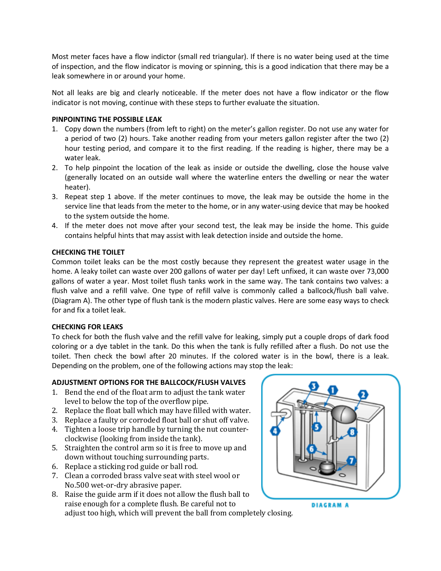Most meter faces have a flow indictor (small red triangular). If there is no water being used at the time of inspection, and the flow indicator is moving or spinning, this is a good indication that there may be a leak somewhere in or around your home.

Not all leaks are big and clearly noticeable. If the meter does not have a flow indicator or the flow indicator is not moving, continue with these steps to further evaluate the situation.

### **PINPOINTING THE POSSIBLE LEAK**

- 1. Copy down the numbers (from left to right) on the meter's gallon register. Do not use any water for a period of two (2) hours. Take another reading from your meters gallon register after the two (2) hour testing period, and compare it to the first reading. If the reading is higher, there may be a water leak.
- 2. To help pinpoint the location of the leak as inside or outside the dwelling, close the house valve (generally located on an outside wall where the waterline enters the dwelling or near the water heater).
- 3. Repeat step 1 above. If the meter continues to move, the leak may be outside the home in the service line that leads from the meter to the home, or in any water-using device that may be hooked to the system outside the home.
- 4. If the meter does not move after your second test, the leak may be inside the home. This guide contains helpful hints that may assist with leak detection inside and outside the home.

## **CHECKING THE TOILET**

Common toilet leaks can be the most costly because they represent the greatest water usage in the home. A leaky toilet can waste over 200 gallons of water per day! Left unfixed, it can waste over 73,000 gallons of water a year. Most toilet flush tanks work in the same way. The tank contains two valves: a flush valve and a refill valve. One type of refill valve is commonly called a ballcock/flush ball valve. (Diagram A). The other type of flush tank is the modern plastic valves. Here are some easy ways to check for and fix a toilet leak.

#### **CHECKING FOR LEAKS**

To check for both the flush valve and the refill valve for leaking, simply put a couple drops of dark food coloring or a dye tablet in the tank. Do this when the tank is fully refilled after a flush. Do not use the toilet. Then check the bowl after 20 minutes. If the colored water is in the bowl, there is a leak. Depending on the problem, one of the following actions may stop the leak:

# **ADJUSTMENT OPTIONS FOR THE BALLCOCK/FLUSH VALVES**

- 1. Bend the end of the float arm to adjust the tank water level to below the top of the overflow pipe.
- 2. Replace the float ball which may have filled with water.
- 3. Replace a faulty or corroded float ball or shut off valve.
- 4. Tighten a loose trip handle by turning the nut counterclockwise (looking from inside the tank).
- 5. Straighten the control arm so it is free to move up and down without touching surrounding parts.
- 6. Replace a sticking rod guide or ball rod.
- 7. Clean a corroded brass valve seat with steel wool or No.500 wet-or-dry abrasive paper.
- 8. Raise the guide arm if it does not allow the flush ball to raise enough for a complete flush. Be careful not to

adjust too high, which will prevent the ball from completely closing.



**DIAGRAM A**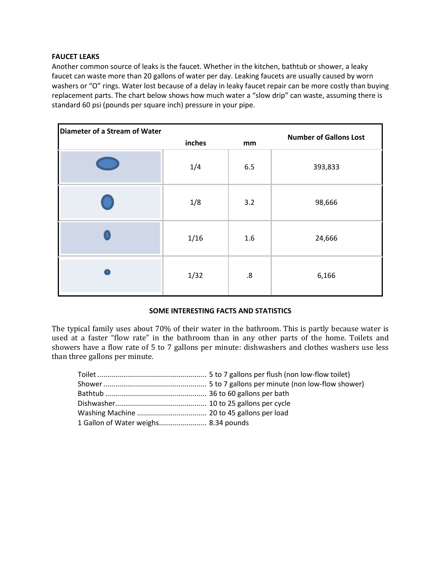#### **FAUCET LEAKS**

Another common source of leaks is the faucet. Whether in the kitchen, bathtub or shower, a leaky faucet can waste more than 20 gallons of water per day. Leaking faucets are usually caused by worn washers or "O" rings. Water lost because of a delay in leaky faucet repair can be more costly than buying replacement parts. The chart below shows how much water a "slow drip" can waste, assuming there is standard 60 psi (pounds per square inch) pressure in your pipe.

| Diameter of a Stream of Water |        |     |                               |
|-------------------------------|--------|-----|-------------------------------|
|                               | inches | mm  | <b>Number of Gallons Lost</b> |
|                               | 1/4    | 6.5 | 393,833                       |
|                               | 1/8    | 3.2 | 98,666                        |
|                               | 1/16   | 1.6 | 24,666                        |
|                               | 1/32   | .8  | 6,166                         |

#### **SOME INTERESTING FACTS AND STATISTICS**

The typical family uses about 70% of their water in the bathroom. This is partly because water is used at a faster "flow rate" in the bathroom than in any other parts of the home. Toilets and showers have a flow rate of 5 to 7 gallons per minute: dishwashers and clothes washers use less than three gallons per minute.

| 1 Gallon of Water weighs 8.34 pounds |  |
|--------------------------------------|--|